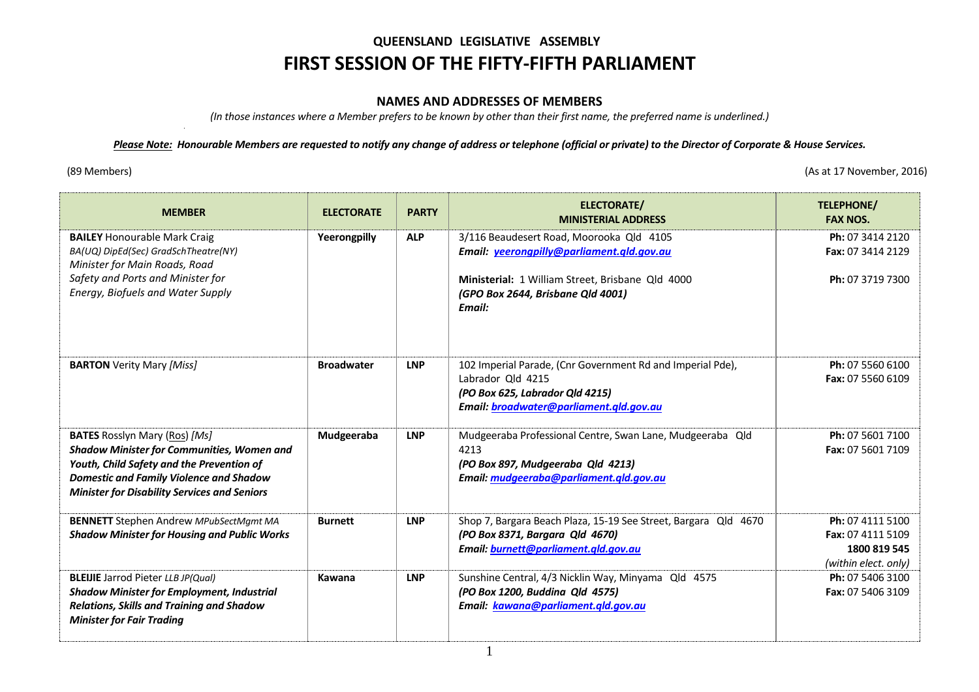# **QUEENSLAND LEGISLATIVE ASSEMBLY FIRST SESSION OF THE FIFTY-FIFTH PARLIAMENT**

#### **NAMES AND ADDRESSES OF MEMBERS**

*(In those instances where a Member prefers to be known by other than their first name, the preferred name is underlined.)* 

### *Please Note: Honourable Members are requested to notify any change of address or telephone (official or private) to the Director of Corporate & House Services.*

(89 Members) (As at 17 November, 2016)

| <b>MEMBER</b>                                                                                                                                                                                                                                   | <b>ELECTORATE</b> | <b>PARTY</b> | <b>ELECTORATE/</b><br><b>MINISTERIAL ADDRESS</b>                                                                                                              | TELEPHONE/<br><b>FAX NOS.</b>                                                 |
|-------------------------------------------------------------------------------------------------------------------------------------------------------------------------------------------------------------------------------------------------|-------------------|--------------|---------------------------------------------------------------------------------------------------------------------------------------------------------------|-------------------------------------------------------------------------------|
| <b>BAILEY Honourable Mark Craig</b><br>BA(UQ) DipEd(Sec) GradSchTheatre(NY)<br>Minister for Main Roads, Road                                                                                                                                    | Yeerongpilly      | <b>ALP</b>   | 3/116 Beaudesert Road, Moorooka Qld 4105<br>Email: yeerongpilly@parliament.qld.gov.au                                                                         | Ph: 07 3414 2120<br>Fax: 07 3414 2129                                         |
| Safety and Ports and Minister for<br>Energy, Biofuels and Water Supply                                                                                                                                                                          |                   |              | Ministerial: 1 William Street, Brisbane Qld 4000<br>(GPO Box 2644, Brisbane Qld 4001)<br>Email:                                                               | Ph: 07 3719 7300                                                              |
| <b>BARTON</b> Verity Mary [Miss]                                                                                                                                                                                                                | <b>Broadwater</b> | <b>LNP</b>   | 102 Imperial Parade, (Cnr Government Rd and Imperial Pde),<br>Labrador Old 4215<br>(PO Box 625, Labrador Qld 4215)<br>Email: broadwater@parliament.qld.gov.au | Ph: 07 5560 6100<br><b>Fax: 07 5560 6109</b>                                  |
| <b>BATES</b> Rosslyn Mary (Ros) [Ms]<br><b>Shadow Minister for Communities, Women and</b><br>Youth, Child Safety and the Prevention of<br><b>Domestic and Family Violence and Shadow</b><br><b>Minister for Disability Services and Seniors</b> | Mudgeeraba        | <b>LNP</b>   | Mudgeeraba Professional Centre, Swan Lane, Mudgeeraba Qld<br>4213<br>(PO Box 897, Mudgeeraba Qld 4213)<br>Email: mudgeeraba@parliament.qld.gov.au             | Ph: 07 5601 7100<br>Fax: 07 5601 7109                                         |
| <b>BENNETT</b> Stephen Andrew MPubSectMgmt MA<br><b>Shadow Minister for Housing and Public Works</b>                                                                                                                                            | <b>Burnett</b>    | <b>LNP</b>   | Shop 7, Bargara Beach Plaza, 15-19 See Street, Bargara Qld 4670<br>(PO Box 8371, Bargara Qld 4670)<br>Email: burnett@parliament.qld.gov.au                    | Ph: 07 4111 5100<br>Fax: 07 4111 5109<br>1800 819 545<br>(within elect. only) |
| <b>BLEIJIE</b> Jarrod Pieter LLB JP(Qual)<br><b>Shadow Minister for Employment, Industrial</b><br><b>Relations, Skills and Training and Shadow</b><br><b>Minister for Fair Trading</b>                                                          | Kawana            | <b>LNP</b>   | Sunshine Central, 4/3 Nicklin Way, Minyama Qld 4575<br>(PO Box 1200, Buddina Qld 4575)<br>Email: kawana@parliament.qld.gov.au                                 | Ph: 07 5406 3100<br><b>Fax: 07 5406 3109</b>                                  |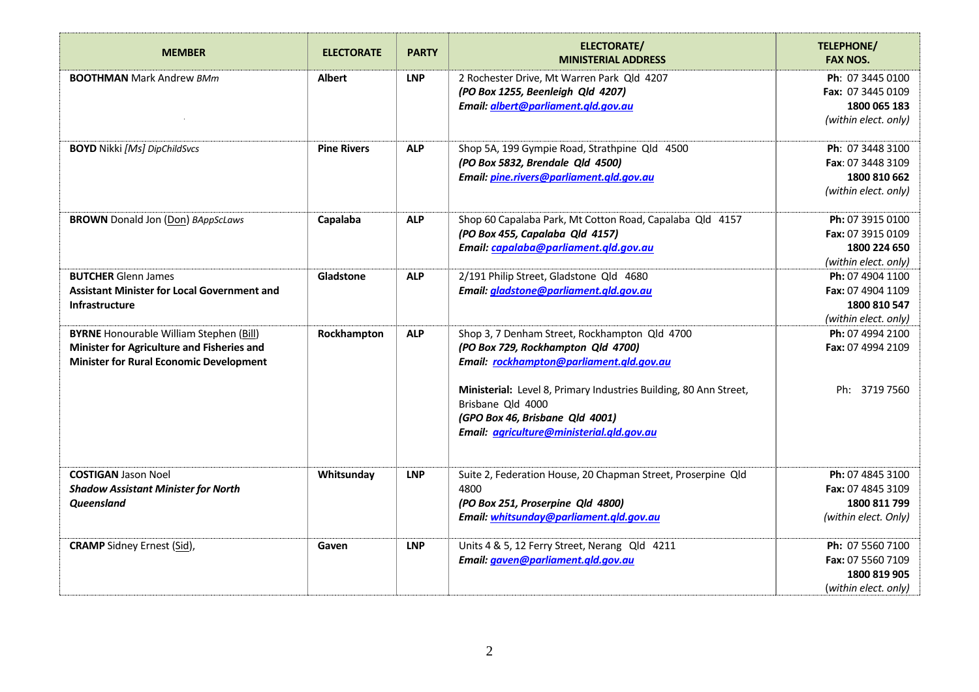| <b>MEMBER</b>                                                                                                                                  | <b>ELECTORATE</b>  | <b>PARTY</b> | <b>ELECTORATE/</b><br><b>MINISTERIAL ADDRESS</b>                                                                                                                       | <b>TELEPHONE/</b><br><b>FAX NOS.</b>                                          |
|------------------------------------------------------------------------------------------------------------------------------------------------|--------------------|--------------|------------------------------------------------------------------------------------------------------------------------------------------------------------------------|-------------------------------------------------------------------------------|
| <b>BOOTHMAN</b> Mark Andrew BMm                                                                                                                | <b>Albert</b>      | <b>LNP</b>   | 2 Rochester Drive, Mt Warren Park Qld 4207<br>(PO Box 1255, Beenleigh Qld 4207)<br>Email: albert@parliament.qld.gov.au                                                 | Ph: 07 3445 0100<br>Fax: 07 3445 0109<br>1800 065 183<br>(within elect. only) |
| <b>BOYD</b> Nikki [Ms] DipChildSvcs                                                                                                            | <b>Pine Rivers</b> | <b>ALP</b>   | Shop 5A, 199 Gympie Road, Strathpine Qld 4500<br>(PO Box 5832, Brendale Qld 4500)<br>Email: pine.rivers@parliament.gld.gov.au                                          | Ph: 07 3448 3100<br>Fax: 07 3448 3109<br>1800 810 662<br>(within elect. only) |
| <b>BROWN</b> Donald Jon (Don) BAppScLaws                                                                                                       | Capalaba           | <b>ALP</b>   | Shop 60 Capalaba Park, Mt Cotton Road, Capalaba Qld 4157<br>(PO Box 455, Capalaba Qld 4157)<br>Email: capalaba@parliament.qld.gov.au                                   | Ph: 07 3915 0100<br>Fax: 07 3915 0109<br>1800 224 650<br>(within elect. only) |
| <b>BUTCHER Glenn James</b><br><b>Assistant Minister for Local Government and</b><br><b>Infrastructure</b>                                      | Gladstone          | <b>ALP</b>   | 2/191 Philip Street, Gladstone Qld 4680<br>Email: gladstone@parliament.qld.gov.au                                                                                      | Ph: 07 4904 1100<br>Fax: 07 4904 1109<br>1800 810 547<br>(within elect. only) |
| <b>BYRNE</b> Honourable William Stephen (Bill)<br>Minister for Agriculture and Fisheries and<br><b>Minister for Rural Economic Development</b> | Rockhampton        | <b>ALP</b>   | Shop 3, 7 Denham Street, Rockhampton Qld 4700<br>(PO Box 729, Rockhampton Qld 4700)<br>Email: rockhampton@parliament.qld.gov.au                                        | Ph: 07 4994 2100<br>Fax: 07 4994 2109                                         |
|                                                                                                                                                |                    |              | Ministerial: Level 8, Primary Industries Building, 80 Ann Street,<br>Brisbane Qld 4000<br>(GPO Box 46, Brisbane Qld 4001)<br>Email: agriculture@ministerial.gld.gov.au | Ph: 3719 7560                                                                 |
| <b>COSTIGAN Jason Noel</b><br><b>Shadow Assistant Minister for North</b><br><b>Queensland</b>                                                  | Whitsunday         | <b>LNP</b>   | Suite 2, Federation House, 20 Chapman Street, Proserpine Qld<br>4800<br>(PO Box 251, Proserpine Qld 4800)<br>Email: whitsunday@parliament.qld.gov.au                   | Ph: 07 4845 3100<br>Fax: 07 4845 3109<br>1800 811 799<br>(within elect. Only) |
| <b>CRAMP</b> Sidney Ernest (Sid),                                                                                                              | Gaven              | <b>LNP</b>   | Units 4 & 5, 12 Ferry Street, Nerang Qld 4211<br>Email: gaven@parliament.qld.gov.au                                                                                    | Ph: 07 5560 7100<br>Fax: 07 5560 7109<br>1800 819 905<br>(within elect. only) |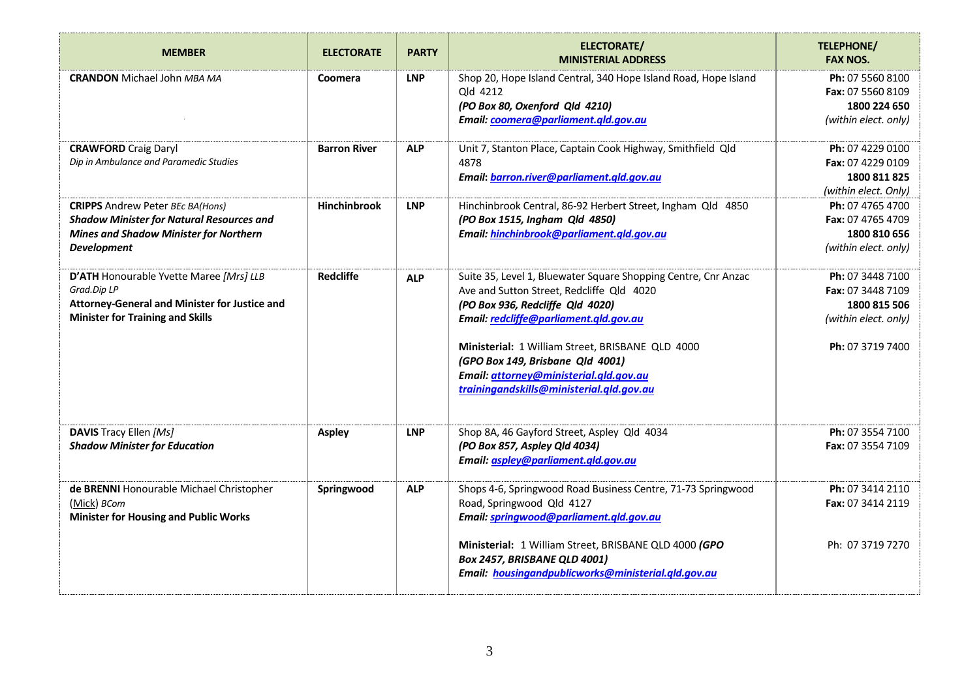| <b>MEMBER</b>                                                                                                                                                      | <b>ELECTORATE</b>   | <b>PARTY</b> | <b>ELECTORATE/</b><br><b>MINISTERIAL ADDRESS</b>                                                                                                                                                                                                                                                                                                                        | <b>TELEPHONE/</b><br><b>FAX NOS.</b>                                                                     |
|--------------------------------------------------------------------------------------------------------------------------------------------------------------------|---------------------|--------------|-------------------------------------------------------------------------------------------------------------------------------------------------------------------------------------------------------------------------------------------------------------------------------------------------------------------------------------------------------------------------|----------------------------------------------------------------------------------------------------------|
| <b>CRANDON</b> Michael John MBA MA                                                                                                                                 | Coomera             | <b>LNP</b>   | Shop 20, Hope Island Central, 340 Hope Island Road, Hope Island<br>Qld 4212<br>(PO Box 80, Oxenford Qld 4210)<br>Email: coomera@parliament.qld.gov.au                                                                                                                                                                                                                   | Ph: 07 5560 8100<br><b>Fax: 07 5560 8109</b><br>1800 224 650<br>(within elect. only)                     |
| <b>CRAWFORD</b> Craig Daryl<br>Dip in Ambulance and Paramedic Studies                                                                                              | <b>Barron River</b> | <b>ALP</b>   | Unit 7, Stanton Place, Captain Cook Highway, Smithfield Qld<br>4878<br>Email: barron.river@parliament.qld.gov.au                                                                                                                                                                                                                                                        | Ph: 07 4229 0100<br>Fax: 07 4229 0109<br>1800 811 825<br>(within elect. Only)                            |
| <b>CRIPPS</b> Andrew Peter BEc BA(Hons)<br><b>Shadow Minister for Natural Resources and</b><br><b>Mines and Shadow Minister for Northern</b><br><b>Development</b> | <b>Hinchinbrook</b> | <b>LNP</b>   | Hinchinbrook Central, 86-92 Herbert Street, Ingham Qld 4850<br>(PO Box 1515, Ingham Qld 4850)<br>Email: hinchinbrook@parliament.gld.gov.au                                                                                                                                                                                                                              | Ph: 07 4765 4700<br>Fax: 07 4765 4709<br>1800 810 656<br>(within elect. only)                            |
| D'ATH Honourable Yvette Maree [Mrs] LLB<br>Grad.Dip LP<br>Attorney-General and Minister for Justice and<br><b>Minister for Training and Skills</b>                 | <b>Redcliffe</b>    | <b>ALP</b>   | Suite 35, Level 1, Bluewater Square Shopping Centre, Cnr Anzac<br>Ave and Sutton Street, Redcliffe Qld 4020<br>(PO Box 936, Redcliffe Qld 4020)<br>Email: redcliffe@parliament.qld.gov.au<br>Ministerial: 1 William Street, BRISBANE QLD 4000<br>(GPO Box 149, Brisbane Qld 4001)<br>Email: attorney@ministerial.qld.gov.au<br>trainingandskills@ministerial.gld.gov.au | Ph: 07 3448 7100<br><b>Fax: 07 3448 7109</b><br>1800 815 506<br>(within elect. only)<br>Ph: 07 3719 7400 |
| <b>DAVIS</b> Tracy Ellen [Ms]<br><b>Shadow Minister for Education</b>                                                                                              | <b>Aspley</b>       | <b>LNP</b>   | Shop 8A, 46 Gayford Street, Aspley Qld 4034<br>(PO Box 857, Aspley Qld 4034)<br>Email: aspley@parliament.qld.gov.au                                                                                                                                                                                                                                                     | Ph: 07 3554 7100<br>Fax: 07 3554 7109                                                                    |
| de BRENNI Honourable Michael Christopher<br>(Mick) BCom<br><b>Minister for Housing and Public Works</b>                                                            | Springwood          | <b>ALP</b>   | Shops 4-6, Springwood Road Business Centre, 71-73 Springwood<br>Road, Springwood Qld 4127<br>Email: springwood@parliament.qld.gov.au                                                                                                                                                                                                                                    | Ph: 07 3414 2110<br>Fax: 07 3414 2119                                                                    |
|                                                                                                                                                                    |                     |              | Ministerial: 1 William Street, BRISBANE QLD 4000 (GPO<br><b>Box 2457, BRISBANE QLD 4001)</b><br>Email: housingandpublicworks@ministerial.qld.gov.au                                                                                                                                                                                                                     | Ph: 07 3719 7270                                                                                         |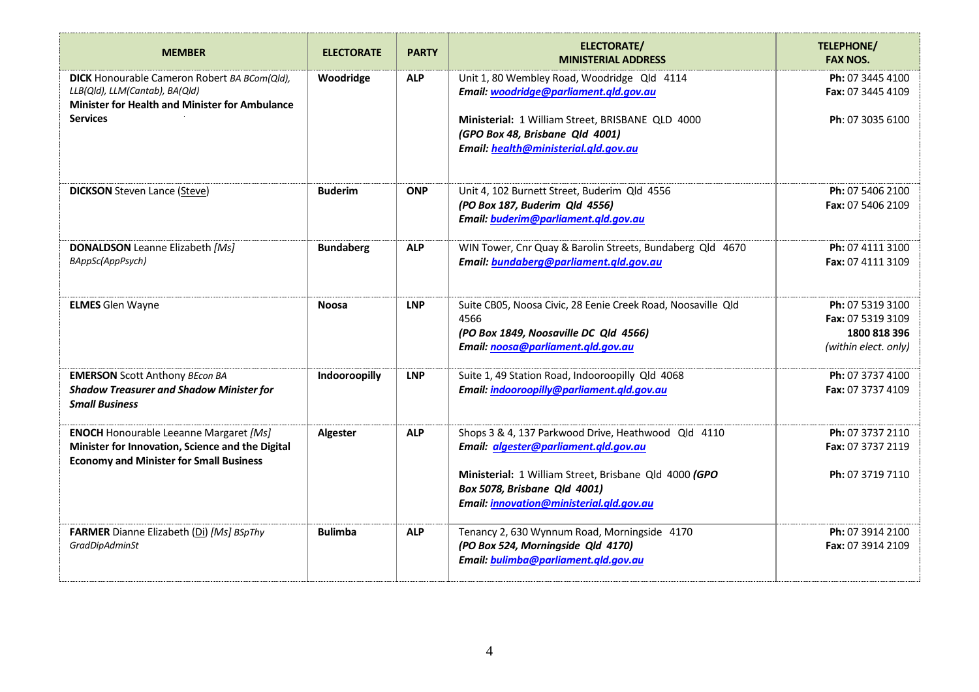| <b>MEMBER</b>                                                                                                                                       | <b>ELECTORATE</b> | <b>PARTY</b> | <b>ELECTORATE/</b><br><b>MINISTERIAL ADDRESS</b>                                                                                                    | <b>TELEPHONE/</b><br><b>FAX NOS.</b>                                          |
|-----------------------------------------------------------------------------------------------------------------------------------------------------|-------------------|--------------|-----------------------------------------------------------------------------------------------------------------------------------------------------|-------------------------------------------------------------------------------|
| <b>DICK</b> Honourable Cameron Robert BA BCom(Qld),<br>LLB(Qld), LLM(Cantab), BA(Qld)<br><b>Minister for Health and Minister for Ambulance</b>      | Woodridge         | <b>ALP</b>   | Unit 1, 80 Wembley Road, Woodridge Qld 4114<br>Email: woodridge@parliament.gld.gov.au                                                               | Ph: 07 3445 4100<br>Fax: 07 3445 4109                                         |
| <b>Services</b>                                                                                                                                     |                   |              | Ministerial: 1 William Street, BRISBANE QLD 4000<br>(GPO Box 48, Brisbane Qld 4001)<br>Email: health@ministerial.qld.gov.au                         | Ph: 07 3035 6100                                                              |
| <b>DICKSON</b> Steven Lance (Steve)                                                                                                                 | <b>Buderim</b>    | <b>ONP</b>   | Unit 4, 102 Burnett Street, Buderim Qld 4556<br>(PO Box 187, Buderim Qld 4556)<br>Email: buderim@parliament.qld.gov.au                              | Ph: 07 5406 2100<br>Fax: 07 5406 2109                                         |
| <b>DONALDSON</b> Leanne Elizabeth [Ms]<br>BAppSc(AppPsych)                                                                                          | <b>Bundaberg</b>  | <b>ALP</b>   | WIN Tower, Cnr Quay & Barolin Streets, Bundaberg Qld 4670<br>Email: bundaberg@parliament.qld.gov.au                                                 | Ph: 07 4111 3100<br>Fax: 07 4111 3109                                         |
| <b>ELMES</b> Glen Wayne                                                                                                                             | <b>Noosa</b>      | <b>LNP</b>   | Suite CB05, Noosa Civic, 28 Eenie Creek Road, Noosaville Qld<br>4566<br>(PO Box 1849, Noosaville DC Qld 4566)<br>Email: noosa@parliament.qld.gov.au | Ph: 07 5319 3100<br>Fax: 07 5319 3109<br>1800 818 396<br>(within elect. only) |
| <b>EMERSON</b> Scott Anthony BEcon BA<br><b>Shadow Treasurer and Shadow Minister for</b><br><b>Small Business</b>                                   | Indooroopilly     | <b>LNP</b>   | Suite 1, 49 Station Road, Indooroopilly Qld 4068<br>Email: indooroopilly@parliament.qld.gov.au                                                      | Ph: 07 3737 4100<br>Fax: 07 3737 4109                                         |
| <b>ENOCH</b> Honourable Leeanne Margaret [Ms]<br>Minister for Innovation, Science and the Digital<br><b>Economy and Minister for Small Business</b> | Algester          | <b>ALP</b>   | Shops 3 & 4, 137 Parkwood Drive, Heathwood Qld 4110<br>Email: algester@parliament.qld.gov.au                                                        | Ph: 07 3737 2110<br>Fax: 07 3737 2119                                         |
|                                                                                                                                                     |                   |              | Ministerial: 1 William Street, Brisbane Qld 4000 (GPO<br>Box 5078, Brisbane Qld 4001)<br>Email: innovation@ministerial.qld.gov.au                   | Ph: 07 3719 7110                                                              |
| FARMER Dianne Elizabeth (Di) [Ms] BSpThy<br><b>GradDipAdminSt</b>                                                                                   | <b>Bulimba</b>    | <b>ALP</b>   | Tenancy 2, 630 Wynnum Road, Morningside 4170<br>(PO Box 524, Morningside Qld 4170)<br>Email: bulimba@parliament.qld.gov.au                          | Ph: 07 3914 2100<br>Fax: 07 3914 2109                                         |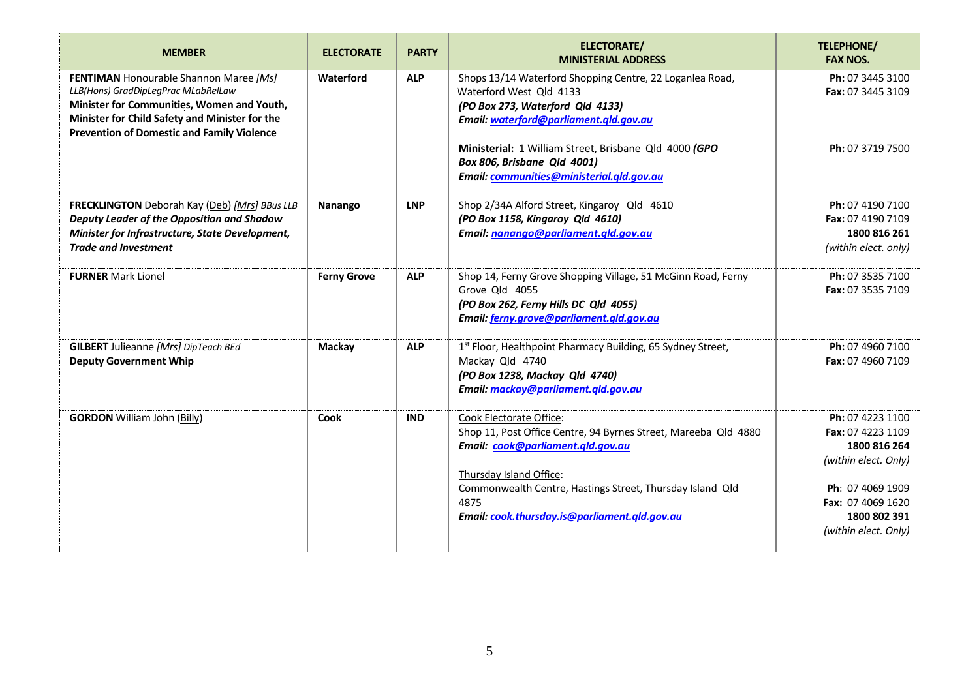| <b>MEMBER</b>                                                                                                                                                                                                                      | <b>ELECTORATE</b>  | <b>PARTY</b> | <b>ELECTORATE/</b><br><b>MINISTERIAL ADDRESS</b>                                                                                                                                                                                                                                 | <b>TELEPHONE/</b><br><b>FAX NOS.</b>                                                                                                                           |
|------------------------------------------------------------------------------------------------------------------------------------------------------------------------------------------------------------------------------------|--------------------|--------------|----------------------------------------------------------------------------------------------------------------------------------------------------------------------------------------------------------------------------------------------------------------------------------|----------------------------------------------------------------------------------------------------------------------------------------------------------------|
| FENTIMAN Honourable Shannon Maree [Ms]<br>LLB(Hons) GradDipLegPrac MLabRelLaw<br>Minister for Communities, Women and Youth,<br>Minister for Child Safety and Minister for the<br><b>Prevention of Domestic and Family Violence</b> | Waterford          | <b>ALP</b>   | Shops 13/14 Waterford Shopping Centre, 22 Loganlea Road,<br>Waterford West Qld 4133<br>(PO Box 273, Waterford Qld 4133)<br>Email: waterford@parliament.qld.gov.au<br>Ministerial: 1 William Street, Brisbane Qld 4000 (GPO                                                       | Ph: 07 3445 3100<br>Fax: 07 3445 3109<br>Ph: 07 3719 7500                                                                                                      |
|                                                                                                                                                                                                                                    |                    |              | Box 806, Brisbane Qld 4001)<br>Email: communities@ministerial.qld.gov.au                                                                                                                                                                                                         |                                                                                                                                                                |
| FRECKLINGTON Deborah Kay (Deb) [Mrs] BBus LLB<br>Deputy Leader of the Opposition and Shadow<br>Minister for Infrastructure, State Development,<br><b>Trade and Investment</b>                                                      | Nanango            | <b>LNP</b>   | Shop 2/34A Alford Street, Kingaroy Qld 4610<br>(PO Box 1158, Kingaroy Qld 4610)<br>Email: nanango@parliament.qld.gov.au                                                                                                                                                          | Ph: 07 4190 7100<br>Fax: 07 4190 7109<br>1800 816 261<br>(within elect. only)                                                                                  |
| <b>FURNER Mark Lionel</b>                                                                                                                                                                                                          | <b>Ferny Grove</b> | <b>ALP</b>   | Shop 14, Ferny Grove Shopping Village, 51 McGinn Road, Ferny<br>Grove Qld 4055<br>(PO Box 262, Ferny Hills DC Qld 4055)<br>Email: ferny.grove@parliament.gld.gov.au                                                                                                              | Ph: 07 3535 7100<br>Fax: 07 3535 7109                                                                                                                          |
| <b>GILBERT</b> Julieanne [Mrs] DipTeach BEd<br><b>Deputy Government Whip</b>                                                                                                                                                       | <b>Mackay</b>      | <b>ALP</b>   | 1st Floor, Healthpoint Pharmacy Building, 65 Sydney Street,<br>Mackay Qld 4740<br>(PO Box 1238, Mackay Qld 4740)<br>Email: mackay@parliament.gld.gov.au                                                                                                                          | Ph: 07 4960 7100<br>Fax: 07 4960 7109                                                                                                                          |
| <b>GORDON</b> William John (Billy)                                                                                                                                                                                                 | Cook               | <b>IND</b>   | Cook Electorate Office:<br>Shop 11, Post Office Centre, 94 Byrnes Street, Mareeba Qld 4880<br>Email: cook@parliament.qld.gov.au<br>Thursday Island Office:<br>Commonwealth Centre, Hastings Street, Thursday Island Qld<br>4875<br>Email: cook.thursday.is@parliament.gld.gov.au | Ph: 07 4223 1100<br>Fax: 07 4223 1109<br>1800 816 264<br>(within elect. Only)<br>Ph: 07 4069 1909<br>Fax: 07 4069 1620<br>1800 802 391<br>(within elect. Only) |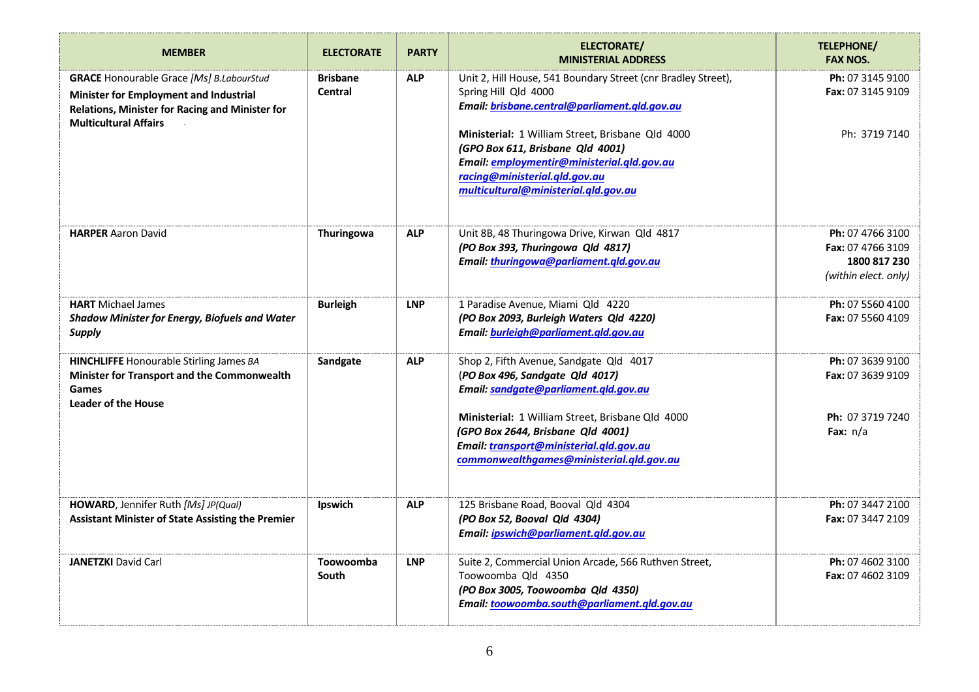| <b>MEMBER</b>                                                                                                                                                                | <b>ELECTORATE</b>                 | <b>PARTY</b> | <b>ELECTORATE/</b><br><b>MINISTERIAL ADDRESS</b>                                                                                                                                                                               | <b>TELEPHONE/</b><br><b>FAX NOS.</b>                                          |
|------------------------------------------------------------------------------------------------------------------------------------------------------------------------------|-----------------------------------|--------------|--------------------------------------------------------------------------------------------------------------------------------------------------------------------------------------------------------------------------------|-------------------------------------------------------------------------------|
| <b>GRACE</b> Honourable Grace [Ms] B.LabourStud<br>Minister for Employment and Industrial<br>Relations, Minister for Racing and Minister for<br><b>Multicultural Affairs</b> | <b>Brisbane</b><br><b>Central</b> | <b>ALP</b>   | Unit 2, Hill House, 541 Boundary Street (cnr Bradley Street),<br>Spring Hill Qld 4000<br>Email: brisbane.central@parliament.qld.gov.au<br>Ministerial: 1 William Street, Brisbane Qld 4000<br>(GPO Box 611, Brisbane Qld 4001) | Ph: 07 3145 9100<br>Fax: 07 3145 9109<br>Ph: 3719 7140                        |
|                                                                                                                                                                              |                                   |              | Email: employmentir@ministerial.qld.gov.au<br>racing@ministerial.qld.gov.au<br>multicultural@ministerial.qld.gov.au                                                                                                            |                                                                               |
| <b>HARPER Aaron David</b>                                                                                                                                                    | Thuringowa                        | <b>ALP</b>   | Unit 8B, 48 Thuringowa Drive, Kirwan Qld 4817<br>(PO Box 393, Thuringowa Qld 4817)<br>Email: thuringowa@parliament.qld.gov.au                                                                                                  | Ph: 07 4766 3100<br>Fax: 07 4766 3109<br>1800 817 230<br>(within elect. only) |
| <b>HART</b> Michael James<br>Shadow Minister for Energy, Biofuels and Water<br><b>Supply</b>                                                                                 | <b>Burleigh</b>                   | <b>LNP</b>   | 1 Paradise Avenue, Miami Qld 4220<br>(PO Box 2093, Burleigh Waters Qld 4220)<br>Email: burleigh@parliament.qld.gov.au                                                                                                          | Ph: 07 5560 4100<br>Fax: 07 5560 4109                                         |
| <b>HINCHLIFFE</b> Honourable Stirling James BA<br>Minister for Transport and the Commonwealth<br><b>Games</b><br><b>Leader of the House</b>                                  | Sandgate                          | <b>ALP</b>   | Shop 2, Fifth Avenue, Sandgate Qld 4017<br>(PO Box 496, Sandgate Qld 4017)<br>Email: sandgate@parliament.gld.gov.au                                                                                                            | Ph: 07 3639 9100<br>Fax: 07 3639 9109                                         |
|                                                                                                                                                                              |                                   |              | Ministerial: 1 William Street, Brisbane Qld 4000<br>(GPO Box 2644, Brisbane Qld 4001)<br>Email: transport@ministerial.qld.gov.au<br>commonwealthgames@ministerial.qld.gov.au                                                   | Ph: 07 3719 7240<br>Fax: $n/a$                                                |
| HOWARD, Jennifer Ruth [Ms] JP(Qual)<br><b>Assistant Minister of State Assisting the Premier</b>                                                                              | Ipswich                           | <b>ALP</b>   | 125 Brisbane Road, Booval Qld 4304<br>(PO Box 52, Booval Qld 4304)<br>Email: ipswich@parliament.gld.gov.au                                                                                                                     | Ph: 07 3447 2100<br>Fax: 07 3447 2109                                         |
| <b>JANETZKI</b> David Carl                                                                                                                                                   | Toowoomba<br>South                | <b>LNP</b>   | Suite 2, Commercial Union Arcade, 566 Ruthven Street,<br>Toowoomba Qld 4350<br>(PO Box 3005, Toowoomba Qld 4350)<br>Email: toowoomba.south@parliament.gld.gov.au                                                               | Ph: 07 4602 3100<br>Fax: 07 4602 3109                                         |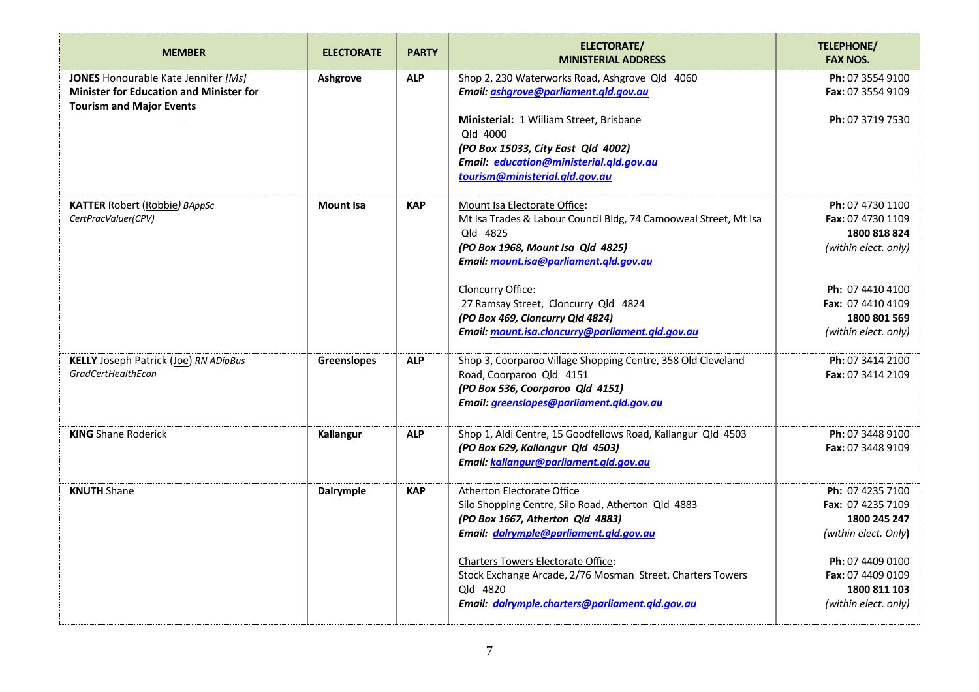| <b>MEMBER</b>                                                                                                            | <b>ELECTORATE</b>  | <b>PARTY</b> | <b>ELECTORATE/</b><br><b>MINISTERIAL ADDRESS</b>                                                                                                                                            | <b>TELEPHONE/</b><br><b>FAX NOS.</b>                                          |
|--------------------------------------------------------------------------------------------------------------------------|--------------------|--------------|---------------------------------------------------------------------------------------------------------------------------------------------------------------------------------------------|-------------------------------------------------------------------------------|
| JONES Honourable Kate Jennifer [Ms]<br><b>Minister for Education and Minister for</b><br><b>Tourism and Major Events</b> | Ashgrove           | <b>ALP</b>   | Shop 2, 230 Waterworks Road, Ashgrove Qld 4060<br>Email: ashqrove@parliament.qld.gov.au                                                                                                     | Ph: 07 3554 9100<br>Fax: 07 3554 9109                                         |
|                                                                                                                          |                    |              | Ministerial: 1 William Street, Brisbane<br>Qld 4000<br>(PO Box 15033, City East Qld 4002)<br>Email: education@ministerial.qld.gov.au<br>tourism@ministerial.qld.gov.au                      | Ph: 07 3719 7530                                                              |
| <b>KATTER Robert (Robbie) BAppSc</b><br>CertPracValuer(CPV)                                                              | <b>Mount Isa</b>   | <b>KAP</b>   | Mount Isa Electorate Office:<br>Mt Isa Trades & Labour Council Bldg, 74 Camooweal Street, Mt Isa<br>Old 4825<br>(PO Box 1968, Mount Isa Qld 4825)<br>Email: mount.isa@parliament.qld.gov.au | Ph: 07 4730 1100<br>Fax: 07 4730 1109<br>1800 818 824<br>(within elect. only) |
|                                                                                                                          |                    |              | Cloncurry Office:<br>27 Ramsay Street, Cloncurry Qld 4824<br>(PO Box 469, Cloncurry Qld 4824)<br>Email: mount.isa.cloncurry@parliament.gld.gov.au                                           | Ph: 07 4410 4100<br>Fax: 07 4410 4109<br>1800 801 569<br>(within elect. only) |
| <b>KELLY</b> Joseph Patrick (Joe) RN ADipBus<br><b>GradCertHealthEcon</b>                                                | <b>Greenslopes</b> | <b>ALP</b>   | Shop 3, Coorparoo Village Shopping Centre, 358 Old Cleveland<br>Road, Coorparoo Qld 4151<br>(PO Box 536, Coorparoo Qld 4151)<br>Email: <i>greenslopes@parliament.gld.gov.au</i>             | Ph: 07 3414 2100<br>Fax: 07 3414 2109                                         |
| <b>KING Shane Roderick</b>                                                                                               | <b>Kallangur</b>   | <b>ALP</b>   | Shop 1, Aldi Centre, 15 Goodfellows Road, Kallangur Qld 4503<br>(PO Box 629, Kallangur Qld 4503)<br>Email: kallangur@parliament.gld.gov.au                                                  | Ph: 07 3448 9100<br>Fax: 07 3448 9109                                         |
| <b>KNUTH Shane</b>                                                                                                       | Dalrymple          | <b>KAP</b>   | <b>Atherton Electorate Office</b><br>Silo Shopping Centre, Silo Road, Atherton Qld 4883<br>(PO Box 1667, Atherton Qld 4883)<br>Email: dalrymple@parliament.gld.gov.au                       | Ph: 07 4235 7100<br>Fax: 07 4235 7109<br>1800 245 247<br>(within elect. Only) |
|                                                                                                                          |                    |              | Charters Towers Electorate Office:<br>Stock Exchange Arcade, 2/76 Mosman Street, Charters Towers<br>Old 4820<br>Email: dalrymple.charters@parliament.qld.gov.au                             | Ph: 07 4409 0100<br>Fax: 07 4409 0109<br>1800 811 103<br>(within elect. only) |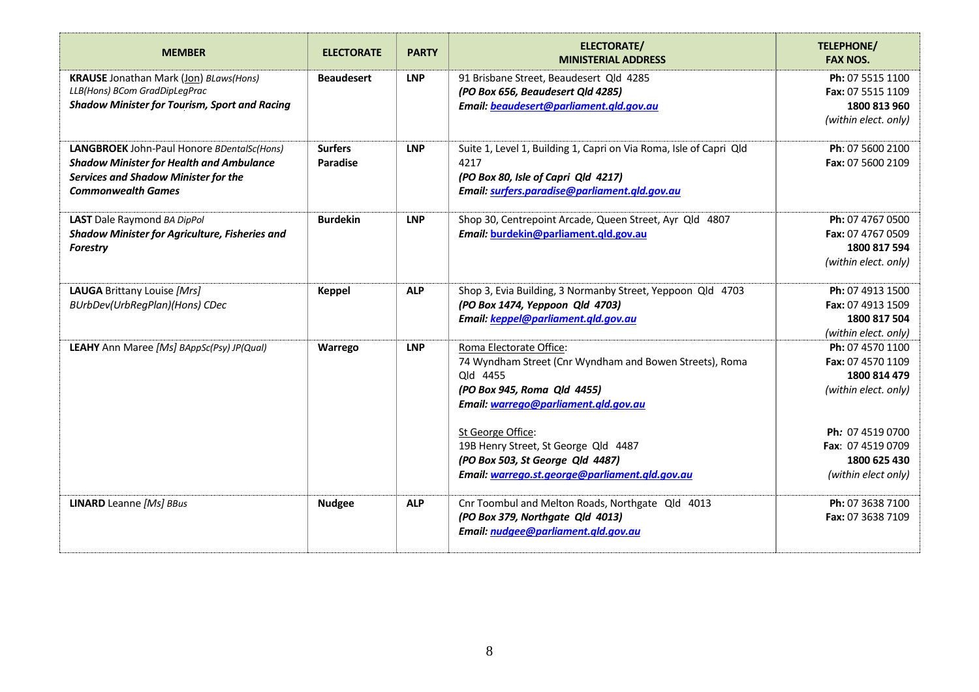| <b>MEMBER</b>                                                                                                                                                      | <b>ELECTORATE</b>                 | <b>PARTY</b> | <b>ELECTORATE/</b><br><b>MINISTERIAL ADDRESS</b>                                                                                                                                                                                                                                                                         | TELEPHONE/<br><b>FAX NOS.</b>                                                                                                                                 |
|--------------------------------------------------------------------------------------------------------------------------------------------------------------------|-----------------------------------|--------------|--------------------------------------------------------------------------------------------------------------------------------------------------------------------------------------------------------------------------------------------------------------------------------------------------------------------------|---------------------------------------------------------------------------------------------------------------------------------------------------------------|
| <b>KRAUSE</b> Jonathan Mark (Jon) BLaws(Hons)<br>LLB(Hons) BCom GradDipLegPrac<br><b>Shadow Minister for Tourism, Sport and Racing</b>                             | <b>Beaudesert</b>                 | <b>LNP</b>   | 91 Brisbane Street, Beaudesert Qld 4285<br>(PO Box 656, Beaudesert Qld 4285)<br>Email: beaudesert@parliament.qld.gov.au                                                                                                                                                                                                  | Ph: 07 5515 1100<br>Fax: 07 5515 1109<br>1800 813 960<br>(within elect. only)                                                                                 |
| LANGBROEK John-Paul Honore BDentalSc(Hons)<br><b>Shadow Minister for Health and Ambulance</b><br>Services and Shadow Minister for the<br><b>Commonwealth Games</b> | <b>Surfers</b><br><b>Paradise</b> | <b>LNP</b>   | Suite 1, Level 1, Building 1, Capri on Via Roma, Isle of Capri Qld<br>4217<br>(PO Box 80, Isle of Capri Qld 4217)<br>Email: surfers.paradise@parliament.qld.gov.au                                                                                                                                                       | Ph: 07 5600 2100<br>Fax: 07 5600 2109                                                                                                                         |
| <b>LAST</b> Dale Raymond BA DipPol<br><b>Shadow Minister for Agriculture, Fisheries and</b><br><b>Forestry</b>                                                     | <b>Burdekin</b>                   | <b>LNP</b>   | Shop 30, Centrepoint Arcade, Queen Street, Ayr Qld 4807<br>Email: burdekin@parliament.qld.gov.au                                                                                                                                                                                                                         | Ph: 07 4767 0500<br>Fax: 07 4767 0509<br>1800 817 594<br>(within elect. only)                                                                                 |
| LAUGA Brittany Louise [Mrs]<br>BUrbDev(UrbRegPlan)(Hons) CDec                                                                                                      | <b>Keppel</b>                     | <b>ALP</b>   | Shop 3, Evia Building, 3 Normanby Street, Yeppoon Qld 4703<br>(PO Box 1474, Yeppoon Qld 4703)<br>Email: keppel@parliament.qld.gov.au                                                                                                                                                                                     | Ph: 07 4913 1500<br>Fax: 07 4913 1509<br>1800 817 504<br>(within elect. only)                                                                                 |
| LEAHY Ann Maree [Ms] BAppSc(Psy) JP(Qual)                                                                                                                          | Warrego                           | <b>LNP</b>   | Roma Electorate Office:<br>74 Wyndham Street (Cnr Wyndham and Bowen Streets), Roma<br>Qld 4455<br>(PO Box 945, Roma Qld 4455)<br>Email: warrego@parliament.qld.gov.au<br>St George Office:<br>19B Henry Street, St George Qld 4487<br>(PO Box 503, St George Qld 4487)<br>Email: warrego.st.george@parliament.gld.gov.au | Ph: 07 4570 1100<br>Fax: 07 4570 1109<br>1800 814 479<br>(within elect. only)<br>Ph: 07 4519 0700<br>Fax: 07 4519 0709<br>1800 625 430<br>(within elect only) |
| <b>LINARD</b> Leanne [Ms] BBus                                                                                                                                     | <b>Nudgee</b>                     | <b>ALP</b>   | Cnr Toombul and Melton Roads, Northgate Qld 4013<br>(PO Box 379, Northgate Qld 4013)<br>Email: nudgee@parliament.qld.gov.au                                                                                                                                                                                              | Ph: 07 3638 7100<br>Fax: 07 3638 7109                                                                                                                         |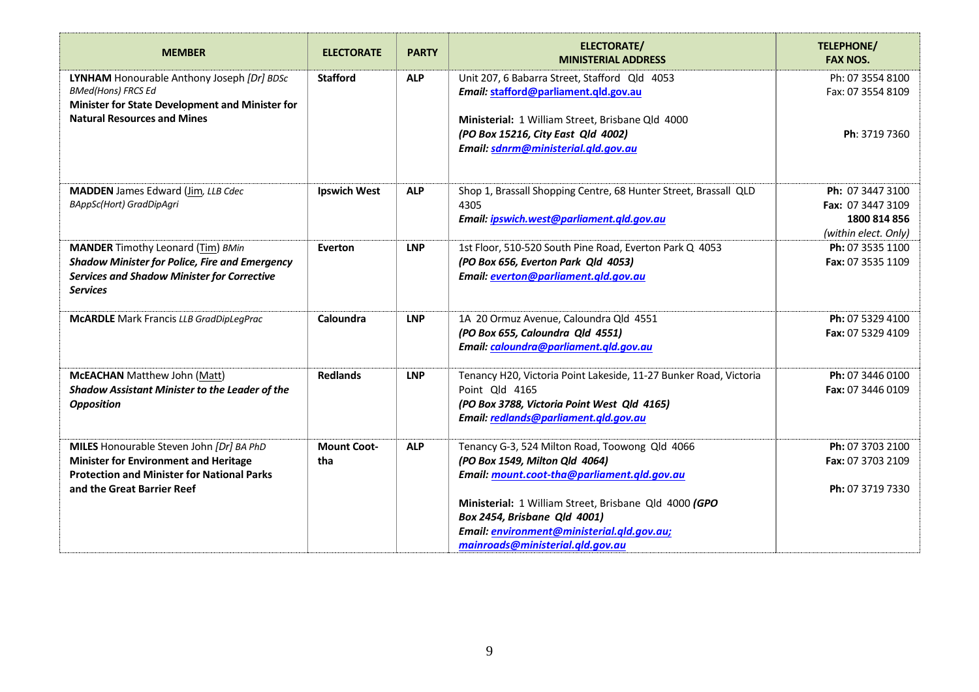| <b>MEMBER</b>                                                                                                                                                               | <b>ELECTORATE</b>         | <b>PARTY</b> | <b>ELECTORATE/</b><br><b>MINISTERIAL ADDRESS</b>                                                                                                                            | <b>TELEPHONE/</b><br><b>FAX NOS.</b>                                          |
|-----------------------------------------------------------------------------------------------------------------------------------------------------------------------------|---------------------------|--------------|-----------------------------------------------------------------------------------------------------------------------------------------------------------------------------|-------------------------------------------------------------------------------|
| LYNHAM Honourable Anthony Joseph [Dr] BDSc<br><b>BMed(Hons) FRCS Ed</b><br>Minister for State Development and Minister for                                                  | <b>Stafford</b>           | <b>ALP</b>   | Unit 207, 6 Babarra Street, Stafford Qld 4053<br>Email: stafford@parliament.qld.gov.au                                                                                      | Ph: 07 3554 8100<br>Fax: 07 3554 8109                                         |
| <b>Natural Resources and Mines</b>                                                                                                                                          |                           |              | Ministerial: 1 William Street, Brisbane Qld 4000<br>(PO Box 15216, City East Qld 4002)<br>Email: sdnrm@ministerial.qld.gov.au                                               | Ph: 3719 7360                                                                 |
| <b>MADDEN</b> James Edward (Jim, LLB Cdec<br>BAppSc(Hort) GradDipAgri                                                                                                       | <b>Ipswich West</b>       | <b>ALP</b>   | Shop 1, Brassall Shopping Centre, 68 Hunter Street, Brassall QLD<br>4305<br>Email: ipswich.west@parliament.qld.gov.au                                                       | Ph: 07 3447 3100<br>Fax: 07 3447 3109<br>1800 814 856<br>(within elect. Only) |
| <b>MANDER</b> Timothy Leonard (Tim) BMin<br><b>Shadow Minister for Police, Fire and Emergency</b><br><b>Services and Shadow Minister for Corrective</b><br><b>Services</b>  | Everton                   | <b>LNP</b>   | 1st Floor, 510-520 South Pine Road, Everton Park Q 4053<br>(PO Box 656, Everton Park Qld 4053)<br>Email: everton@parliament.gld.gov.au                                      | Ph: 07 3535 1100<br>Fax: 07 3535 1109                                         |
| <b>McARDLE</b> Mark Francis LLB GradDipLegPrac                                                                                                                              | Caloundra                 | <b>LNP</b>   | 1A 20 Ormuz Avenue, Caloundra Qld 4551<br>(PO Box 655, Caloundra Qld 4551)<br>Email: caloundra@parliament.qld.gov.au                                                        | Ph: 07 5329 4100<br>Fax: 07 5329 4109                                         |
| McEACHAN Matthew John (Matt)<br>Shadow Assistant Minister to the Leader of the<br><b>Opposition</b>                                                                         | <b>Redlands</b>           | <b>LNP</b>   | Tenancy H20, Victoria Point Lakeside, 11-27 Bunker Road, Victoria<br>Point Old 4165<br>(PO Box 3788, Victoria Point West Qld 4165)<br>Email: redlands@parliament.qld.gov.au | Ph: 07 3446 0100<br>Fax: 07 3446 0109                                         |
| MILES Honourable Steven John [Dr] BA PhD<br><b>Minister for Environment and Heritage</b><br><b>Protection and Minister for National Parks</b><br>and the Great Barrier Reef | <b>Mount Coot-</b><br>tha | <b>ALP</b>   | Tenancy G-3, 524 Milton Road, Toowong Qld 4066<br>(PO Box 1549, Milton Qld 4064)<br>Email: mount.coot-tha@parliament.qld.gov.au                                             | Ph: 07 3703 2100<br>Fax: 07 3703 2109<br>Ph: 07 3719 7330                     |
|                                                                                                                                                                             |                           |              | Ministerial: 1 William Street, Brisbane Qld 4000 (GPO<br>Box 2454, Brisbane Qld 4001)<br>Email: environment@ministerial.qld.gov.au;<br>mainroads@ministerial.qld.gov.au     |                                                                               |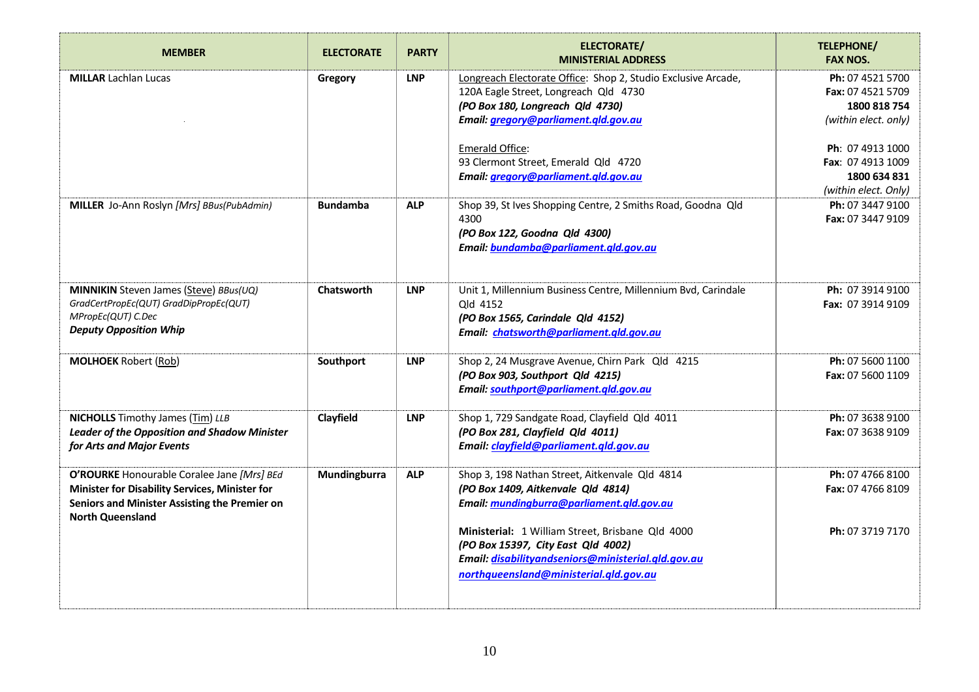| <b>MEMBER</b>                                                                                                                                                            | <b>ELECTORATE</b> | <b>PARTY</b> | <b>ELECTORATE/</b><br><b>MINISTERIAL ADDRESS</b>                                                                                                                                       | <b>TELEPHONE/</b><br><b>FAX NOS.</b>                                          |
|--------------------------------------------------------------------------------------------------------------------------------------------------------------------------|-------------------|--------------|----------------------------------------------------------------------------------------------------------------------------------------------------------------------------------------|-------------------------------------------------------------------------------|
| <b>MILLAR</b> Lachlan Lucas                                                                                                                                              | Gregory           | <b>LNP</b>   | Longreach Electorate Office: Shop 2, Studio Exclusive Arcade,<br>120A Eagle Street, Longreach Qld 4730<br>(PO Box 180, Longreach Qld 4730)<br>Email: gregory@parliament.qld.gov.au     | Ph: 07 4521 5700<br>Fax: 07 4521 5709<br>1800 818 754<br>(within elect. only) |
|                                                                                                                                                                          |                   |              | Emerald Office:<br>93 Clermont Street, Emerald Qld 4720<br>Email: gregory@parliament.gld.gov.au                                                                                        | Ph: 07 4913 1000<br>Fax: 07 4913 1009<br>1800 634 831<br>(within elect. Only) |
| MILLER Jo-Ann Roslyn [Mrs] BBus(PubAdmin)                                                                                                                                | <b>Bundamba</b>   | <b>ALP</b>   | Shop 39, St Ives Shopping Centre, 2 Smiths Road, Goodna Qld<br>4300<br>(PO Box 122, Goodna Qld 4300)<br>Email: bundamba@parliament.gld.gov.au                                          | Ph: 07 3447 9100<br>Fax: 07 3447 9109                                         |
| <b>MINNIKIN</b> Steven James (Steve) BBus(UQ)<br>GradCertPropEc(QUT) GradDipPropEc(QUT)<br>MPropEc(QUT) C.Dec<br><b>Deputy Opposition Whip</b>                           | Chatsworth        | <b>LNP</b>   | Unit 1, Millennium Business Centre, Millennium Bvd, Carindale<br>Old 4152<br>(PO Box 1565, Carindale Qld 4152)<br>Email: chatsworth@parliament.qld.gov.au                              | Ph: 07 3914 9100<br>Fax: 07 3914 9109                                         |
| <b>MOLHOEK Robert (Rob)</b>                                                                                                                                              | Southport         | <b>LNP</b>   | Shop 2, 24 Musgrave Avenue, Chirn Park Qld 4215<br>(PO Box 903, Southport Qld 4215)<br>Email: southport@parliament.gld.gov.au                                                          | Ph: 07 5600 1100<br>Fax: 07 5600 1109                                         |
| <b>NICHOLLS</b> Timothy James (Tim) LLB<br><b>Leader of the Opposition and Shadow Minister</b><br>for Arts and Major Events                                              | Clayfield         | <b>LNP</b>   | Shop 1, 729 Sandgate Road, Clayfield Qld 4011<br>(PO Box 281, Clayfield Qld 4011)<br>Email: clayfield@parliament.qld.gov.au                                                            | Ph: 07 3638 9100<br>Fax: 07 3638 9109                                         |
| O'ROURKE Honourable Coralee Jane [Mrs] BEd<br>Minister for Disability Services, Minister for<br>Seniors and Minister Assisting the Premier on<br><b>North Queensland</b> | Mundingburra      | <b>ALP</b>   | Shop 3, 198 Nathan Street, Aitkenvale Qld 4814<br>(PO Box 1409, Aitkenvale Qld 4814)<br>Email: mundingburra@parliament.gld.gov.au                                                      | Ph: 07 4766 8100<br>Fax: 07 4766 8109                                         |
|                                                                                                                                                                          |                   |              | Ministerial: 1 William Street, Brisbane Qld 4000<br>(PO Box 15397, City East Qld 4002)<br>Email: disabilityandseniors@ministerial.qld.gov.au<br>northqueensland@ministerial.qld.gov.au | Ph: 07 3719 7170                                                              |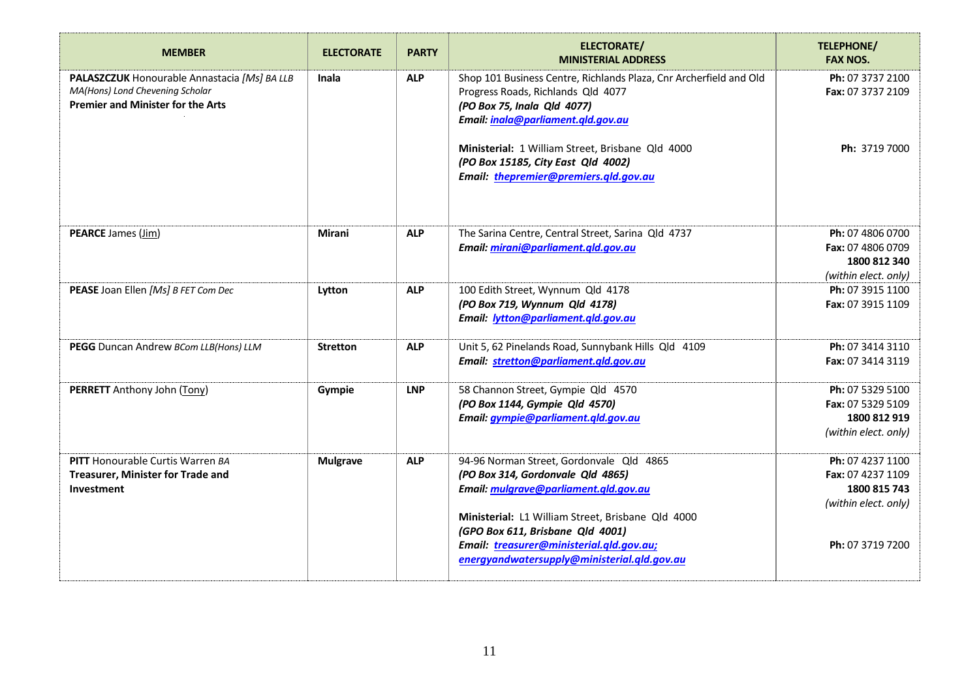| <b>MEMBER</b>                                                                                                               | <b>ELECTORATE</b> | <b>PARTY</b> | <b>ELECTORATE/</b><br><b>MINISTERIAL ADDRESS</b>                                                                                                                                                                                                                                                           | <b>TELEPHONE/</b><br><b>FAX NOS.</b>                                                              |
|-----------------------------------------------------------------------------------------------------------------------------|-------------------|--------------|------------------------------------------------------------------------------------------------------------------------------------------------------------------------------------------------------------------------------------------------------------------------------------------------------------|---------------------------------------------------------------------------------------------------|
| PALASZCZUK Honourable Annastacia [Ms] BA LLB<br>MA(Hons) Lond Chevening Scholar<br><b>Premier and Minister for the Arts</b> | Inala             | <b>ALP</b>   | Shop 101 Business Centre, Richlands Plaza, Cnr Archerfield and Old<br>Progress Roads, Richlands Qld 4077<br>(PO Box 75, Inala Qld 4077)<br>Email: inala@parliament.qld.gov.au                                                                                                                              | Ph: 07 3737 2100<br>Fax: 07 3737 2109                                                             |
|                                                                                                                             |                   |              | Ministerial: 1 William Street, Brisbane Qld 4000<br>(PO Box 15185, City East Qld 4002)<br>Email: thepremier@premiers.qld.gov.au                                                                                                                                                                            | Ph: 3719 7000                                                                                     |
| <b>PEARCE</b> James (Jim)                                                                                                   | Mirani            | <b>ALP</b>   | The Sarina Centre, Central Street, Sarina Qld 4737<br>Email: mirani@parliament.gld.gov.au                                                                                                                                                                                                                  | Ph: 07 4806 0700<br>Fax: 07 4806 0709<br>1800 812 340<br>(within elect. only)                     |
| PEASE Joan Ellen [Ms] B FET Com Dec                                                                                         | Lytton            | <b>ALP</b>   | 100 Edith Street, Wynnum Qld 4178<br>(PO Box 719, Wynnum Qld 4178)<br>Email: lytton@parliament.qld.gov.au                                                                                                                                                                                                  | Ph: 07 3915 1100<br>Fax: 07 3915 1109                                                             |
| PEGG Duncan Andrew BCom LLB(Hons) LLM                                                                                       | <b>Stretton</b>   | <b>ALP</b>   | Unit 5, 62 Pinelands Road, Sunnybank Hills Qld 4109<br>Email: stretton@parliament.qld.gov.au                                                                                                                                                                                                               | Ph: 07 3414 3110<br>Fax: 07 3414 3119                                                             |
| PERRETT Anthony John (Tony)                                                                                                 | Gympie            | <b>LNP</b>   | 58 Channon Street, Gympie Qld 4570<br>(PO Box 1144, Gympie Qld 4570)<br>Email: gympie@parliament.qld.gov.au                                                                                                                                                                                                | Ph: 07 5329 5100<br>Fax: 07 5329 5109<br>1800 812 919<br>(within elect. only)                     |
| <b>PITT</b> Honourable Curtis Warren BA<br>Treasurer, Minister for Trade and<br><b>Investment</b>                           | <b>Mulgrave</b>   | <b>ALP</b>   | 94-96 Norman Street, Gordonvale Qld 4865<br>(PO Box 314, Gordonvale Qld 4865)<br>Email: mulgrave@parliament.qld.gov.au<br>Ministerial: L1 William Street, Brisbane Qld 4000<br>(GPO Box 611, Brisbane Qld 4001)<br>Email: treasurer@ministerial.gld.gov.au;<br>energyandwatersupply@ministerial.qld.gov.au | Ph: 07 4237 1100<br>Fax: 07 4237 1109<br>1800 815 743<br>(within elect. only)<br>Ph: 07 3719 7200 |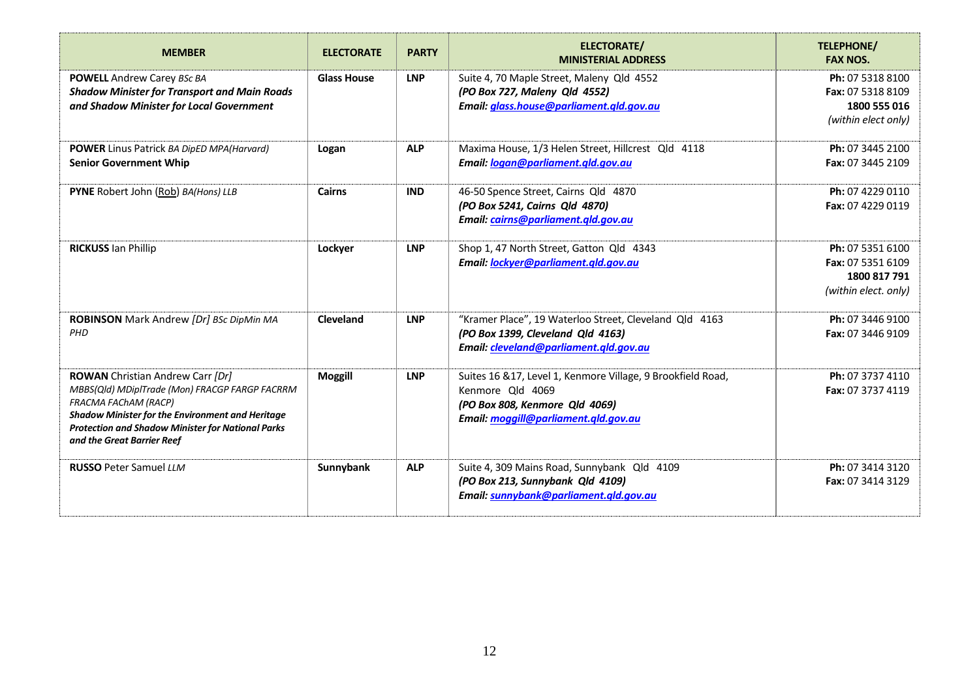| <b>MEMBER</b>                                                                                                                                                                                                                                                          | <b>ELECTORATE</b>  | <b>PARTY</b> | <b>ELECTORATE/</b><br><b>MINISTERIAL ADDRESS</b>                                                                                                           | TELEPHONE/<br><b>FAX NOS.</b>                                                 |
|------------------------------------------------------------------------------------------------------------------------------------------------------------------------------------------------------------------------------------------------------------------------|--------------------|--------------|------------------------------------------------------------------------------------------------------------------------------------------------------------|-------------------------------------------------------------------------------|
| <b>POWELL</b> Andrew Carey BSc BA<br><b>Shadow Minister for Transport and Main Roads</b><br>and Shadow Minister for Local Government                                                                                                                                   | <b>Glass House</b> | <b>LNP</b>   | Suite 4, 70 Maple Street, Maleny Qld 4552<br>(PO Box 727, Maleny Qld 4552)<br>Email: glass.house@parliament.gld.gov.au                                     | Ph: 07 5318 8100<br>Fax: 07 5318 8109<br>1800 555 016<br>(within elect only)  |
| <b>POWER</b> Linus Patrick BA DipED MPA(Harvard)<br><b>Senior Government Whip</b>                                                                                                                                                                                      | Logan              | <b>ALP</b>   | Maxima House, 1/3 Helen Street, Hillcrest Qld 4118<br>Email: logan@parliament.gld.gov.au                                                                   | Ph: 07 3445 2100<br>Fax: 07 3445 2109                                         |
| PYNE Robert John (Rob) BA(Hons) LLB                                                                                                                                                                                                                                    | <b>Cairns</b>      | <b>IND</b>   | 46-50 Spence Street, Cairns Qld 4870<br>(PO Box 5241, Cairns Qld 4870)<br>Email: cairns@parliament.qld.gov.au                                              | Ph: 07 4229 0110<br>Fax: 07 4229 0119                                         |
| <b>RICKUSS Ian Phillip</b>                                                                                                                                                                                                                                             | Lockyer            | <b>LNP</b>   | Shop 1, 47 North Street, Gatton Qld 4343<br>Email: lockyer@parliament.qld.gov.au                                                                           | Ph: 07 5351 6100<br>Fax: 07 5351 6109<br>1800 817 791<br>(within elect. only) |
| ROBINSON Mark Andrew [Dr] BSc DipMin MA<br>PHD                                                                                                                                                                                                                         | Cleveland          | <b>LNP</b>   | "Kramer Place", 19 Waterloo Street, Cleveland Qld 4163<br>(PO Box 1399, Cleveland Qld 4163)<br>Email: cleveland@parliament.gld.gov.au                      | Ph: 07 3446 9100<br>Fax: 07 3446 9109                                         |
| <b>ROWAN</b> Christian Andrew Carr [Dr]<br>MBBS(Qld) MDiplTrade (Mon) FRACGP FARGP FACRRM<br>FRACMA FAChAM (RACP)<br><b>Shadow Minister for the Environment and Heritage</b><br><b>Protection and Shadow Minister for National Parks</b><br>and the Great Barrier Reef | <b>Moggill</b>     | <b>LNP</b>   | Suites 16 & 17, Level 1, Kenmore Village, 9 Brookfield Road,<br>Kenmore Qld 4069<br>(PO Box 808, Kenmore Qld 4069)<br>Email: moggill@parliament.gld.gov.au | Ph: 07 3737 4110<br>Fax: 07 3737 4119                                         |
| <b>RUSSO Peter Samuel LLM</b>                                                                                                                                                                                                                                          | Sunnybank          | <b>ALP</b>   | Suite 4, 309 Mains Road, Sunnybank Qld 4109<br>(PO Box 213, Sunnybank Qld 4109)<br>Email: sunnybank@parliament.gld.gov.au                                  | Ph: 07 3414 3120<br>Fax: 07 3414 3129                                         |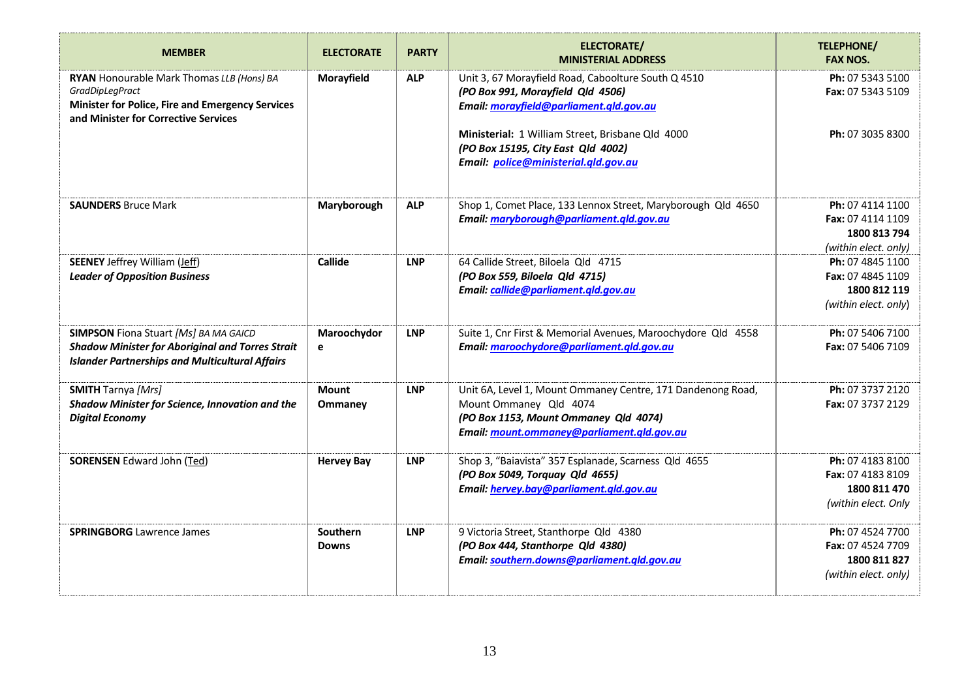| <b>MEMBER</b>                                                                                                                                                   | <b>ELECTORATE</b> | <b>PARTY</b> | <b>ELECTORATE/</b><br><b>MINISTERIAL ADDRESS</b>                                                                                    | <b>TELEPHONE/</b><br><b>FAX NOS.</b>         |
|-----------------------------------------------------------------------------------------------------------------------------------------------------------------|-------------------|--------------|-------------------------------------------------------------------------------------------------------------------------------------|----------------------------------------------|
| RYAN Honourable Mark Thomas LLB (Hons) BA<br>GradDipLegPract<br><b>Minister for Police, Fire and Emergency Services</b><br>and Minister for Corrective Services | Morayfield        | <b>ALP</b>   | Unit 3, 67 Morayfield Road, Caboolture South Q 4510<br>(PO Box 991, Morayfield Qld 4506)<br>Email: morayfield@parliament.qld.gov.au | Ph: 07 5343 5100<br><b>Fax: 07 5343 5109</b> |
|                                                                                                                                                                 |                   |              | Ministerial: 1 William Street, Brisbane Qld 4000<br>(PO Box 15195, City East Qld 4002)<br>Email: police@ministerial.qld.gov.au      | Ph: 07 3035 8300                             |
| <b>SAUNDERS Bruce Mark</b>                                                                                                                                      | Maryborough       | <b>ALP</b>   | Shop 1, Comet Place, 133 Lennox Street, Maryborough Qld 4650                                                                        | Ph: 07 4114 1100                             |
|                                                                                                                                                                 |                   |              | Email: maryborough@parliament.qld.gov.au                                                                                            | Fax: 07 4114 1109<br>1800 813 794            |
|                                                                                                                                                                 |                   |              |                                                                                                                                     | (within elect. only)                         |
| <b>SEENEY Jeffrey William (Jeff)</b>                                                                                                                            | Callide           | <b>LNP</b>   | 64 Callide Street, Biloela Qld 4715                                                                                                 | Ph: 07 4845 1100                             |
| <b>Leader of Opposition Business</b>                                                                                                                            |                   |              | (PO Box 559, Biloela Qld 4715)                                                                                                      | Fax: 07 4845 1109                            |
|                                                                                                                                                                 |                   |              | Email: callide@parliament.qld.gov.au                                                                                                | 1800 812 119                                 |
|                                                                                                                                                                 |                   |              |                                                                                                                                     | (within elect. only)                         |
| SIMPSON Fiona Stuart [Ms] BA MA GAICD                                                                                                                           | Maroochydor       | <b>LNP</b>   | Suite 1, Cnr First & Memorial Avenues, Maroochydore Qld 4558                                                                        | Ph: 07 5406 7100                             |
| <b>Shadow Minister for Aboriginal and Torres Strait</b><br><b>Islander Partnerships and Multicultural Affairs</b>                                               | e                 |              | Email: maroochydore@parliament.qld.gov.au                                                                                           | Fax: 07 5406 7109                            |
| <b>SMITH</b> Tarnya [Mrs]                                                                                                                                       | <b>Mount</b>      | <b>LNP</b>   | Unit 6A, Level 1, Mount Ommaney Centre, 171 Dandenong Road,                                                                         | Ph: 07 3737 2120                             |
| <b>Shadow Minister for Science, Innovation and the</b>                                                                                                          | <b>Ommaney</b>    |              | Mount Ommaney Qld 4074                                                                                                              | Fax: 07 3737 2129                            |
| <b>Digital Economy</b>                                                                                                                                          |                   |              | (PO Box 1153, Mount Ommaney Qld 4074)                                                                                               |                                              |
|                                                                                                                                                                 |                   |              | Email: mount.ommaney@parliament.gld.gov.au                                                                                          |                                              |
| <b>SORENSEN</b> Edward John (Ted)                                                                                                                               | <b>Hervey Bay</b> | <b>LNP</b>   | Shop 3, "Baiavista" 357 Esplanade, Scarness Qld 4655                                                                                | Ph: 07 4183 8100                             |
|                                                                                                                                                                 |                   |              | (PO Box 5049, Torquay Qld 4655)                                                                                                     | Fax: 07 4183 8109                            |
|                                                                                                                                                                 |                   |              | Email: hervey.bay@parliament.qld.gov.au                                                                                             | 1800 811 470                                 |
|                                                                                                                                                                 |                   |              |                                                                                                                                     | (within elect. Only                          |
| <b>SPRINGBORG</b> Lawrence James                                                                                                                                | Southern          | <b>LNP</b>   | 9 Victoria Street, Stanthorpe Qld 4380                                                                                              | Ph: 07 4524 7700                             |
|                                                                                                                                                                 | <b>Downs</b>      |              | (PO Box 444, Stanthorpe Qld 4380)                                                                                                   | Fax: 07 4524 7709                            |
|                                                                                                                                                                 |                   |              | Email: southern.downs@parliament.gld.gov.au                                                                                         | 1800 811 827                                 |
|                                                                                                                                                                 |                   |              |                                                                                                                                     | (within elect. only)                         |
|                                                                                                                                                                 |                   |              |                                                                                                                                     |                                              |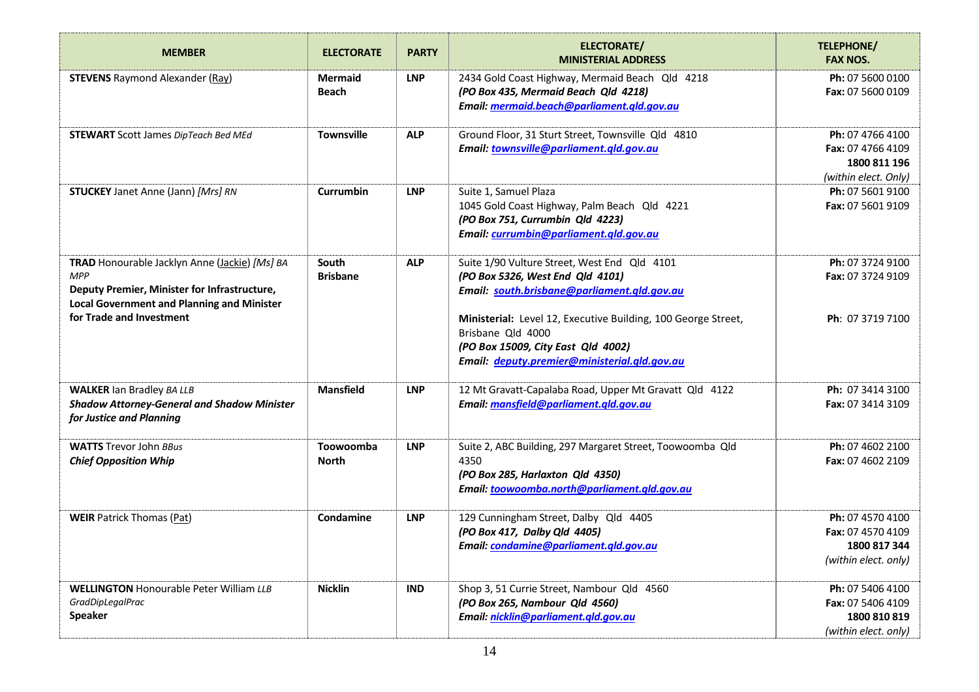| <b>MEMBER</b>                                                                                                                                                    | <b>ELECTORATE</b>              | <b>PARTY</b> | ELECTORATE/<br><b>MINISTERIAL ADDRESS</b>                                                                                                                                | TELEPHONE/<br><b>FAX NOS.</b>                                                 |
|------------------------------------------------------------------------------------------------------------------------------------------------------------------|--------------------------------|--------------|--------------------------------------------------------------------------------------------------------------------------------------------------------------------------|-------------------------------------------------------------------------------|
| <b>STEVENS</b> Raymond Alexander (Ray)                                                                                                                           | <b>Mermaid</b><br><b>Beach</b> | <b>LNP</b>   | 2434 Gold Coast Highway, Mermaid Beach Qld 4218<br>(PO Box 435, Mermaid Beach Qld 4218)<br>Email: mermaid.beach@parliament.qld.gov.au                                    | Ph: 07 5600 0100<br>Fax: 07 5600 0109                                         |
| <b>STEWART</b> Scott James DipTeach Bed MEd                                                                                                                      | <b>Townsville</b>              | <b>ALP</b>   | Ground Floor, 31 Sturt Street, Townsville Qld 4810<br>Email: townsville@parliament.qld.gov.au                                                                            | Ph: 07 4766 4100<br>Fax: 07 4766 4109<br>1800 811 196<br>(within elect. Only) |
| <b>STUCKEY</b> Janet Anne (Jann) [Mrs] RN                                                                                                                        | Currumbin                      | <b>LNP</b>   | Suite 1, Samuel Plaza<br>1045 Gold Coast Highway, Palm Beach Qld 4221<br>(PO Box 751, Currumbin Qld 4223)<br>Email: currumbin@parliament.gld.gov.au                      | Ph: 07 5601 9100<br>Fax: 07 5601 9109                                         |
| TRAD Honourable Jacklyn Anne (Jackie) [Ms] BA<br><b>MPP</b><br>Deputy Premier, Minister for Infrastructure,<br><b>Local Government and Planning and Minister</b> | South<br><b>Brisbane</b>       | <b>ALP</b>   | Suite 1/90 Vulture Street, West End Qld 4101<br>(PO Box 5326, West End Qld 4101)<br>Email: south.brisbane@parliament.qld.gov.au                                          | Ph: 07 3724 9100<br>Fax: 07 3724 9109                                         |
| for Trade and Investment                                                                                                                                         |                                |              | Ministerial: Level 12, Executive Building, 100 George Street,<br>Brisbane Qld 4000<br>(PO Box 15009, City East Qld 4002)<br>Email: deputy.premier@ministerial.qld.gov.au | Ph: 07 3719 7100                                                              |
| <b>WALKER Ian Bradley BA LLB</b><br><b>Shadow Attorney-General and Shadow Minister</b><br>for Justice and Planning                                               | <b>Mansfield</b>               | <b>LNP</b>   | 12 Mt Gravatt-Capalaba Road, Upper Mt Gravatt Qld 4122<br>Email: mansfield@parliament.qld.gov.au                                                                         | Ph: 07 3414 3100<br>Fax: 07 3414 3109                                         |
| <b>WATTS</b> Trevor John BBus<br><b>Chief Opposition Whip</b>                                                                                                    | Toowoomba<br><b>North</b>      | <b>LNP</b>   | Suite 2, ABC Building, 297 Margaret Street, Toowoomba Qld<br>4350<br>(PO Box 285, Harlaxton Qld 4350)<br>Email: toowoomba.north@parliament.qld.gov.au                    | Ph: 07 4602 2100<br>Fax: 07 4602 2109                                         |
| <b>WEIR Patrick Thomas (Pat)</b>                                                                                                                                 | Condamine                      | <b>LNP</b>   | 129 Cunningham Street, Dalby Qld 4405<br>(PO Box 417, Dalby Qld 4405)<br>Email: condamine@parliament.qld.gov.au                                                          | Ph: 07 4570 4100<br>Fax: 07 4570 4109<br>1800 817 344<br>(within elect. only) |
| <b>WELLINGTON Honourable Peter William LLB</b><br><b>GradDipLegalPrac</b><br><b>Speaker</b>                                                                      | <b>Nicklin</b>                 | <b>IND</b>   | Shop 3, 51 Currie Street, Nambour Qld 4560<br>(PO Box 265, Nambour Qld 4560)<br>Email: nicklin@parliament.qld.gov.au                                                     | Ph: 07 5406 4100<br>Fax: 07 5406 4109<br>1800 810 819<br>(within elect. only) |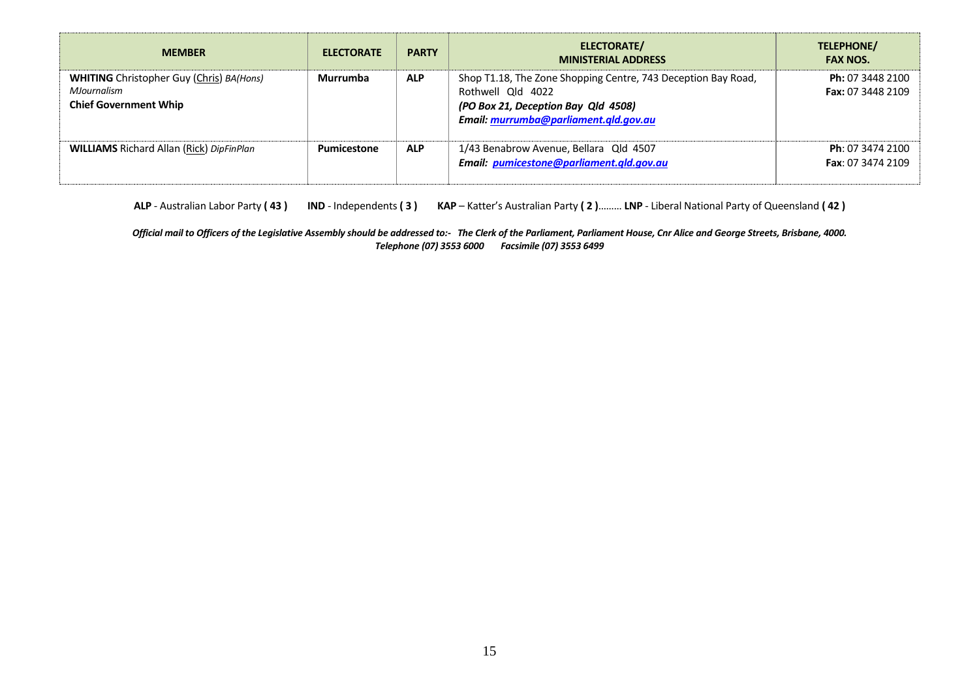| <b>MEMBER</b>                                                                                  | <b>ELECTORATE</b> | <b>PARTY</b> | ELECTORATE/<br><b>MINISTERIAL ADDRESS</b>                                                                                                                          | TELEPHONE/<br><b>FAX NOS.</b>                |
|------------------------------------------------------------------------------------------------|-------------------|--------------|--------------------------------------------------------------------------------------------------------------------------------------------------------------------|----------------------------------------------|
| <b>WHITING</b> Christopher Guy (Chris) BA(Hons)<br>MJournalism<br><b>Chief Government Whip</b> | Murrumba          | <b>ALP</b>   | Shop T1.18, The Zone Shopping Centre, 743 Deception Bay Road,<br>Rothwell Old 4022<br>(PO Box 21, Deception Bay Qld 4508)<br>Email: murrumba@parliament.qld.gov.au | Ph: 07 3448 2100<br><b>Fax: 07 3448 2109</b> |
| <b>WILLIAMS</b> Richard Allan (Rick) DipFinPlan                                                | Pumicestone       | <b>ALP</b>   | 1/43 Benabrow Avenue, Bellara Qld 4507<br>Email: pumicestone@parliament.gld.gov.au                                                                                 | Ph: 07 3474 2100<br>Fax: 07 3474 2109        |

**ALP** - Australian Labor Party **( 43 ) IND** - Independents **( 3 ) KAP** – Katter's Australian Party **( 2 )**……… **LNP** - Liberal National Party of Queensland **( 42 )** 

*Official mail to Officers of the Legislative Assembly should be addressed to:- The Clerk of the Parliament, Parliament House, Cnr Alice and George Streets, Brisbane, 4000. Telephone (07) 3553 6000 Facsimile (07) 3553 6499*